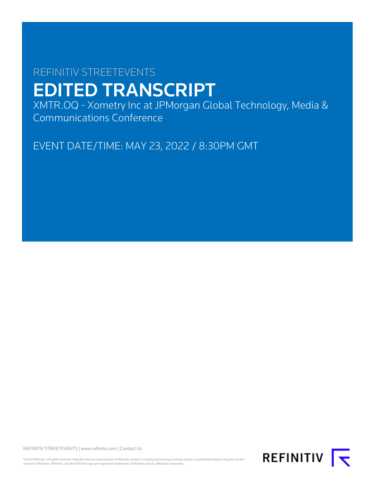# REFINITIV STREETEVENTS EDITED TRANSCRIPT

XMTR.OQ - Xometry Inc at JPMorgan Global Technology, Media & Communications Conference

EVENT DATE/TIME: MAY 23, 2022 / 8:30PM GMT

REFINITIV STREETEVENTS | [www.refinitiv.com](https://www.refinitiv.com/) | [Contact Us](https://www.refinitiv.com/en/contact-us)

©2022 Refinitiv. All rights reserved. Republication or redistribution of Refinitiv content, including by framing or similar means, is prohibited without the prior written<br>consent of Refinitiv. 'Refinitiv' and the Refinitiv

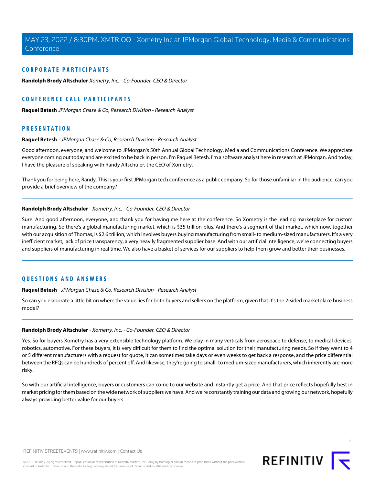# **CORPORATE PARTICIPANTS**

**[Randolph Brody Altschuler](#page-1-0)** Xometry, Inc. - Co-Founder, CEO & Director

# **CONFERENCE CALL PARTICIPANTS**

**[Raquel Betesh](#page-1-1)** JPMorgan Chase & Co, Research Division - Research Analyst

# <span id="page-1-1"></span>**PRESENTATION**

#### **Raquel Betesh** - JPMorgan Chase & Co, Research Division - Research Analyst

Good afternoon, everyone, and welcome to JPMorgan's 50th Annual Global Technology, Media and Communications Conference. We appreciate everyone coming out today and are excited to be back in person. I'm Raquel Betesh. I'm a software analyst here in research at JPMorgan. And today, I have the pleasure of speaking with Randy Altschuler, the CEO of Xometry.

<span id="page-1-0"></span>Thank you for being here, Randy. This is your first JPMorgan tech conference as a public company. So for those unfamiliar in the audience, can you provide a brief overview of the company?

#### **Randolph Brody Altschuler** - Xometry, Inc. - Co-Founder, CEO & Director

Sure. And good afternoon, everyone, and thank you for having me here at the conference. So Xometry is the leading marketplace for custom manufacturing. So there's a global manufacturing market, which is \$35 trillion-plus. And there's a segment of that market, which now, together with our acquisition of Thomas, is \$2.6 trillion, which involves buyers buying manufacturing from small- to medium-sized manufacturers. It's a very inefficient market, lack of price transparency, a very heavily fragmented supplier base. And with our artificial intelligence, we're connecting buyers and suppliers of manufacturing in real time. We also have a basket of services for our suppliers to help them grow and better their businesses.

# **QUESTIONS AND ANSWERS**

#### **Raquel Betesh** - JPMorgan Chase & Co, Research Division - Research Analyst

So can you elaborate a little bit on where the value lies for both buyers and sellers on the platform, given that it's the 2-sided marketplace business model?

## **Randolph Brody Altschuler** - Xometry, Inc. - Co-Founder, CEO & Director

Yes. So for buyers Xometry has a very extensible technology platform. We play in many verticals from aerospace to defense, to medical devices, robotics, automotive. For these buyers, it is very difficult for them to find the optimal solution for their manufacturing needs. So if they went to 4 or 5 different manufacturers with a request for quote, it can sometimes take days or even weeks to get back a response, and the price differential between the RFQs can be hundreds of percent off. And likewise, they're going to small- to medium-sized manufacturers, which inherently are more risky.

So with our artificial intelligence, buyers or customers can come to our website and instantly get a price. And that price reflects hopefully best in market pricing for them based on the wide network of suppliers we have. And we're constantly training our data and growing our network, hopefully always providing better value for our buyers.

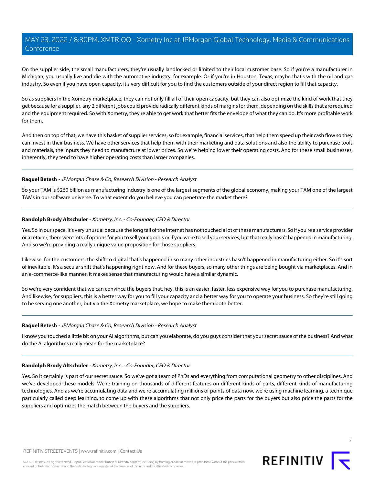On the supplier side, the small manufacturers, they're usually landlocked or limited to their local customer base. So if you're a manufacturer in Michigan, you usually live and die with the automotive industry, for example. Or if you're in Houston, Texas, maybe that's with the oil and gas industry. So even if you have open capacity, it's very difficult for you to find the customers outside of your direct region to fill that capacity.

So as suppliers in the Xometry marketplace, they can not only fill all of their open capacity, but they can also optimize the kind of work that they get because for a supplier, any 2 different jobs could provide radically different kinds of margins for them, depending on the skills that are required and the equipment required. So with Xometry, they're able to get work that better fits the envelope of what they can do. It's more profitable work for them.

And then on top of that, we have this basket of supplier services, so for example, financial services, that help them speed up their cash flow so they can invest in their business. We have other services that help them with their marketing and data solutions and also the ability to purchase tools and materials, the inputs they need to manufacture at lower prices. So we're helping lower their operating costs. And for these small businesses, inherently, they tend to have higher operating costs than larger companies.

## **Raquel Betesh** - JPMorgan Chase & Co, Research Division - Research Analyst

So your TAM is \$260 billion as manufacturing industry is one of the largest segments of the global economy, making your TAM one of the largest TAMs in our software universe. To what extent do you believe you can penetrate the market there?

## **Randolph Brody Altschuler** - Xometry, Inc. - Co-Founder, CEO & Director

Yes. So in our space, it's very unusual because the long tail of the Internet has not touched a lot of these manufacturers. So if you're a service provider or a retailer, there were lots of options for you to sell your goods or if you were to sell your services, but that really hasn't happened in manufacturing. And so we're providing a really unique value proposition for those suppliers.

Likewise, for the customers, the shift to digital that's happened in so many other industries hasn't happened in manufacturing either. So it's sort of inevitable. It's a secular shift that's happening right now. And for these buyers, so many other things are being bought via marketplaces. And in an e-commerce-like manner, it makes sense that manufacturing would have a similar dynamic.

So we're very confident that we can convince the buyers that, hey, this is an easier, faster, less expensive way for you to purchase manufacturing. And likewise, for suppliers, this is a better way for you to fill your capacity and a better way for you to operate your business. So they're still going to be serving one another, but via the Xometry marketplace, we hope to make them both better.

#### **Raquel Betesh** - JPMorgan Chase & Co, Research Division - Research Analyst

I know you touched a little bit on your AI algorithms, but can you elaborate, do you guys consider that your secret sauce of the business? And what do the AI algorithms really mean for the marketplace?

# **Randolph Brody Altschuler** - Xometry, Inc. - Co-Founder, CEO & Director

Yes. So it certainly is part of our secret sauce. So we've got a team of PhDs and everything from computational geometry to other disciplines. And we've developed these models. We're training on thousands of different features on different kinds of parts, different kinds of manufacturing technologies. And as we're accumulating data and we're accumulating millions of points of data now, we're using machine learning, a technique particularly called deep learning, to come up with these algorithms that not only price the parts for the buyers but also price the parts for the suppliers and optimizes the match between the buyers and the suppliers.

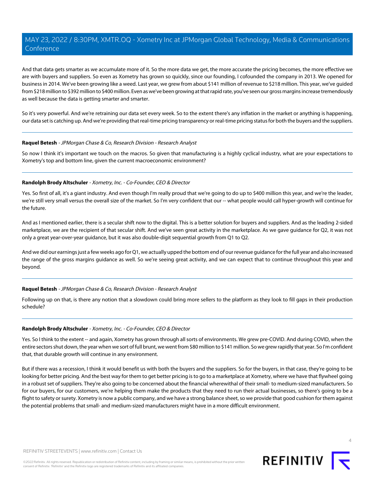And that data gets smarter as we accumulate more of it. So the more data we get, the more accurate the pricing becomes, the more effective we are with buyers and suppliers. So even as Xometry has grown so quickly, since our founding, I cofounded the company in 2013. We opened for business in 2014. We've been growing like a weed. Last year, we grew from about \$141 million of revenue to \$218 million. This year, we've guided from \$218 million to \$392 million to \$400 million. Even as we've been growing at that rapid rate, you've seen our gross margins increase tremendously as well because the data is getting smarter and smarter.

So it's very powerful. And we're retraining our data set every week. So to the extent there's any inflation in the market or anything is happening, our data set is catching up. And we're providing that real-time pricing transparency or real-time pricing status for both the buyers and the suppliers.

#### **Raquel Betesh** - JPMorgan Chase & Co, Research Division - Research Analyst

So now I think it's important we touch on the macros. So given that manufacturing is a highly cyclical industry, what are your expectations to Xometry's top and bottom line, given the current macroeconomic environment?

#### **Randolph Brody Altschuler** - Xometry, Inc. - Co-Founder, CEO & Director

Yes. So first of all, it's a giant industry. And even though I'm really proud that we're going to do up to \$400 million this year, and we're the leader, we're still very small versus the overall size of the market. So I'm very confident that our -- what people would call hyper-growth will continue for the future.

And as I mentioned earlier, there is a secular shift now to the digital. This is a better solution for buyers and suppliers. And as the leading 2-sided marketplace, we are the recipient of that secular shift. And we've seen great activity in the marketplace. As we gave guidance for Q2, it was not only a great year-over-year guidance, but it was also double-digit sequential growth from Q1 to Q2.

And we did our earnings just a few weeks ago for Q1, we actually upped the bottom end of our revenue guidance for the full year and also increased the range of the gross margins guidance as well. So we're seeing great activity, and we can expect that to continue throughout this year and beyond.

#### **Raquel Betesh** - JPMorgan Chase & Co, Research Division - Research Analyst

Following up on that, is there any notion that a slowdown could bring more sellers to the platform as they look to fill gaps in their production schedule?

#### **Randolph Brody Altschuler** - Xometry, Inc. - Co-Founder, CEO & Director

Yes. So I think to the extent -- and again, Xometry has grown through all sorts of environments. We grew pre-COVID. And during COVID, when the entire sectors shut down, the year when we sort of full brunt, we went from \$80 million to \$141 million. So we grew rapidly that year. So I'm confident that, that durable growth will continue in any environment.

But if there was a recession, I think it would benefit us with both the buyers and the suppliers. So for the buyers, in that case, they're going to be looking for better pricing. And the best way for them to get better pricing is to go to a marketplace at Xometry, where we have that flywheel going in a robust set of suppliers. They're also going to be concerned about the financial wherewithal of their small- to medium-sized manufacturers. So for our buyers, for our customers, we're helping them make the products that they need to run their actual businesses, so there's going to be a flight to safety or surety. Xometry is now a public company, and we have a strong balance sheet, so we provide that good cushion for them against the potential problems that small- and medium-sized manufacturers might have in a more difficult environment.



**REFINITIV**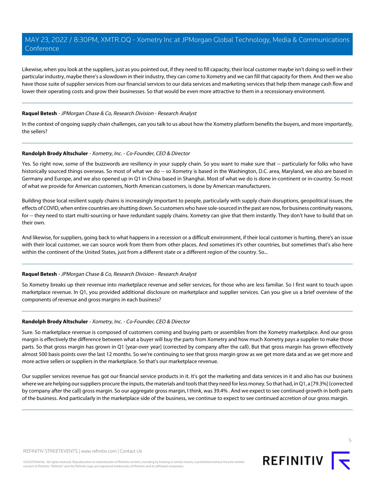Likewise, when you look at the suppliers, just as you pointed out, if they need to fill capacity, their local customer maybe isn't doing so well in their particular industry, maybe there's a slowdown in their industry, they can come to Xometry and we can fill that capacity for them. And then we also have those suite of supplier services from our financial services to our data services and marketing services that help them manage cash flow and lower their operating costs and grow their businesses. So that would be even more attractive to them in a recessionary environment.

#### **Raquel Betesh** - JPMorgan Chase & Co, Research Division - Research Analyst

In the context of ongoing supply chain challenges, can you talk to us about how the Xometry platform benefits the buyers, and more importantly, the sellers?

## **Randolph Brody Altschuler** - Xometry, Inc. - Co-Founder, CEO & Director

Yes. So right now, some of the buzzwords are resiliency in your supply chain. So you want to make sure that -- particularly for folks who have historically sourced things overseas. So most of what we do -- so Xometry is based in the Washington, D.C. area, Maryland, we also are based in Germany and Europe, and we also opened up in Q1 in China based in Shanghai. Most of what we do is done in-continent or in-country. So most of what we provide for American customers, North American customers, is done by American manufacturers.

Building those local resilient supply chains is increasingly important to people, particularly with supply chain disruptions, geopolitical issues, the effects of COVID, when entire countries are shutting down. So customers who have sole-sourced in the past are now, for business continuity reasons, for -- they need to start multi-sourcing or have redundant supply chains. Xometry can give that them instantly. They don't have to build that on their own.

And likewise, for suppliers, going back to what happens in a recession or a difficult environment, if their local customer is hurting, there's an issue with their local customer, we can source work from them from other places. And sometimes it's other countries, but sometimes that's also here within the continent of the United States, just from a different state or a different region of the country. So...

#### **Raquel Betesh** - JPMorgan Chase & Co, Research Division - Research Analyst

So Xometry breaks up their revenue into marketplace revenue and seller services, for those who are less familiar. So I first want to touch upon marketplace revenue. In Q1, you provided additional disclosure on marketplace and supplier services. Can you give us a brief overview of the components of revenue and gross margins in each business?

#### **Randolph Brody Altschuler** - Xometry, Inc. - Co-Founder, CEO & Director

Sure. So marketplace revenue is composed of customers coming and buying parts or assemblies from the Xometry marketplace. And our gross margin is effectively the difference between what a buyer will buy the parts from Xometry and how much Xometry pays a supplier to make those parts. So that gross margin has grown in Q1 [year-over year] (corrected by company after the call). But that gross margin has grown effectively almost 500 basis points over the last 12 months. So we're continuing to see that gross margin grow as we get more data and as we get more and more active sellers or suppliers in the marketplace. So that's our marketplace revenue.

Our supplier services revenue has got our financial service products in it. It's got the marketing and data services in it and also has our business where we are helping our suppliers procure the inputs, the materials and tools that they need for less money. So that had, in Q1, a [79.3%] (corrected by company after the call) gross margin. So our aggregate gross margin, I think, was 39.4% . And we expect to see continued growth in both parts of the business. And particularly in the marketplace side of the business, we continue to expect to see continued accretion of our gross margin.



5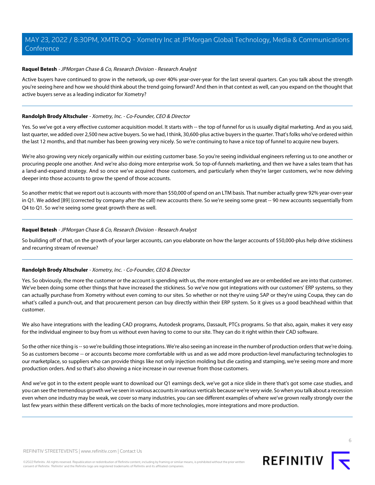#### **Raquel Betesh** - JPMorgan Chase & Co, Research Division - Research Analyst

Active buyers have continued to grow in the network, up over 40% year-over-year for the last several quarters. Can you talk about the strength you're seeing here and how we should think about the trend going forward? And then in that context as well, can you expand on the thought that active buyers serve as a leading indicator for Xometry?

## **Randolph Brody Altschuler** - Xometry, Inc. - Co-Founder, CEO & Director

Yes. So we've got a very effective customer acquisition model. It starts with -- the top of funnel for us is usually digital marketing. And as you said, last quarter, we added over 2,500 new active buyers. So we had, I think, 30,600-plus active buyers in the quarter. That's folks who've ordered within the last 12 months, and that number has been growing very nicely. So we're continuing to have a nice top of funnel to acquire new buyers.

We're also growing very nicely organically within our existing customer base. So you're seeing individual engineers referring us to one another or procuring people one another. And we're also doing more enterprise work. So top-of-funnels marketing, and then we have a sales team that has a land-and-expand strategy. And so once we've acquired those customers, and particularly when they're larger customers, we're now delving deeper into those accounts to grow the spend of those accounts.

So another metric that we report out is accounts with more than \$50,000 of spend on an LTM basis. That number actually grew 92% year-over-year in Q1. We added [89] (corrected by company after the call) new accounts there. So we're seeing some great -- 90 new accounts sequentially from Q4 to Q1. So we're seeing some great growth there as well.

## **Raquel Betesh** - JPMorgan Chase & Co, Research Division - Research Analyst

So building off of that, on the growth of your larger accounts, can you elaborate on how the larger accounts of \$50,000-plus help drive stickiness and recurring stream of revenue?

# **Randolph Brody Altschuler** - Xometry, Inc. - Co-Founder, CEO & Director

Yes. So obviously, the more the customer or the account is spending with us, the more entangled we are or embedded we are into that customer. We've been doing some other things that have increased the stickiness. So we've now got integrations with our customers' ERP systems, so they can actually purchase from Xometry without even coming to our sites. So whether or not they're using SAP or they're using Coupa, they can do what's called a punch-out, and that procurement person can buy directly within their ERP system. So it gives us a good beachhead within that customer.

We also have integrations with the leading CAD programs, Autodesk programs, Dassault, PTCs programs. So that also, again, makes it very easy for the individual engineer to buy from us without even having to come to our site. They can do it right within their CAD software.

So the other nice thing is -- so we're building those integrations. We're also seeing an increase in the number of production orders that we're doing. So as customers become -- or accounts become more comfortable with us and as we add more production-level manufacturing technologies to our marketplace, so suppliers who can provide things like not only injection molding but die casting and stamping, we're seeing more and more production orders. And so that's also showing a nice increase in our revenue from those customers.

And we've got in to the extent people want to download our Q1 earnings deck, we've got a nice slide in there that's got some case studies, and you can see the tremendous growth we've seen in various accounts in various verticals because we're very wide. So when you talk about a recession even when one industry may be weak, we cover so many industries, you can see different examples of where we've grown really strongly over the last few years within these different verticals on the backs of more technologies, more integrations and more production.

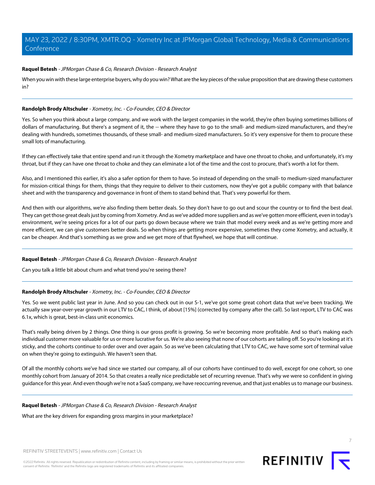## **Raquel Betesh** - JPMorgan Chase & Co, Research Division - Research Analyst

When you win with these large enterprise buyers, why do you win? What are the key pieces of the value proposition that are drawing these customers in?

#### **Randolph Brody Altschuler** - Xometry, Inc. - Co-Founder, CEO & Director

Yes. So when you think about a large company, and we work with the largest companies in the world, they're often buying sometimes billions of dollars of manufacturing. But there's a segment of it, the -- where they have to go to the small- and medium-sized manufacturers, and they're dealing with hundreds, sometimes thousands, of these small- and medium-sized manufacturers. So it's very expensive for them to procure these small lots of manufacturing.

If they can effectively take that entire spend and run it through the Xometry marketplace and have one throat to choke, and unfortunately, it's my throat, but if they can have one throat to choke and they can eliminate a lot of the time and the cost to procure, that's worth a lot for them.

Also, and I mentioned this earlier, it's also a safer option for them to have. So instead of depending on the small- to medium-sized manufacturer for mission-critical things for them, things that they require to deliver to their customers, now they've got a public company with that balance sheet and with the transparency and governance in front of them to stand behind that. That's very powerful for them.

And then with our algorithms, we're also finding them better deals. So they don't have to go out and scour the country or to find the best deal. They can get those great deals just by coming from Xometry. And as we've added more suppliers and as we've gotten more efficient, even in today's environment, we're seeing prices for a lot of our parts go down because where we train that model every week and as we're getting more and more efficient, we can give customers better deals. So when things are getting more expensive, sometimes they come Xometry, and actually, it can be cheaper. And that's something as we grow and we get more of that flywheel, we hope that will continue.

#### **Raquel Betesh** - JPMorgan Chase & Co, Research Division - Research Analyst

Can you talk a little bit about churn and what trend you're seeing there?

# **Randolph Brody Altschuler** - Xometry, Inc. - Co-Founder, CEO & Director

Yes. So we went public last year in June. And so you can check out in our S-1, we've got some great cohort data that we've been tracking. We actually saw year-over-year growth in our LTV to CAC, I think, of about [15%] (corrected by company after the call). So last report, LTV to CAC was 6.1x, which is great, best-in-class unit economics.

That's really being driven by 2 things. One thing is our gross profit is growing. So we're becoming more profitable. And so that's making each individual customer more valuable for us or more lucrative for us. We're also seeing that none of our cohorts are tailing off. So you're looking at it's sticky, and the cohorts continue to order over and over again. So as we've been calculating that LTV to CAC, we have some sort of terminal value on when they're going to extinguish. We haven't seen that.

Of all the monthly cohorts we've had since we started our company, all of our cohorts have continued to do well, except for one cohort, so one monthly cohort from January of 2014. So that creates a really nice predictable set of recurring revenue. That's why we were so confident in giving guidance for this year. And even though we're not a SaaS company, we have reoccurring revenue, and that just enables us to manage our business.

#### **Raquel Betesh** - JPMorgan Chase & Co, Research Division - Research Analyst

What are the key drivers for expanding gross margins in your marketplace?

REFINITIV STREETEVENTS | [www.refinitiv.com](https://www.refinitiv.com/) | [Contact Us](https://www.refinitiv.com/en/contact-us)

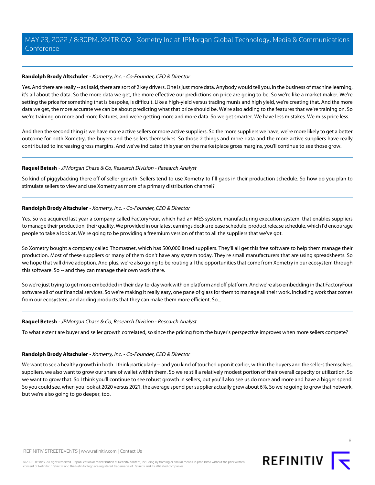# **Randolph Brody Altschuler** - Xometry, Inc. - Co-Founder, CEO & Director

Yes. And there are really -- as I said, there are sort of 2 key drivers. One is just more data. Anybody would tell you, in the business of machine learning, it's all about the data. So the more data we get, the more effective our predictions on price are going to be. So we're like a market maker. We're setting the price for something that is bespoke, is difficult. Like a high-yield versus trading munis and high yield, we're creating that. And the more data we get, the more accurate we can be about predicting what that price should be. We're also adding to the features that we're training on. So we're training on more and more features, and we're getting more and more data. So we get smarter. We have less mistakes. We miss price less.

And then the second thing is we have more active sellers or more active suppliers. So the more suppliers we have, we're more likely to get a better outcome for both Xometry, the buyers and the sellers themselves. So those 2 things and more data and the more active suppliers have really contributed to increasing gross margins. And we've indicated this year on the marketplace gross margins, you'll continue to see those grow.

## **Raquel Betesh** - JPMorgan Chase & Co, Research Division - Research Analyst

So kind of piggybacking there off of seller growth. Sellers tend to use Xometry to fill gaps in their production schedule. So how do you plan to stimulate sellers to view and use Xometry as more of a primary distribution channel?

## **Randolph Brody Altschuler** - Xometry, Inc. - Co-Founder, CEO & Director

Yes. So we acquired last year a company called FactoryFour, which had an MES system, manufacturing execution system, that enables suppliers to manage their production, their quality. We provided in our latest earnings deck a release schedule, product release schedule, which I'd encourage people to take a look at. We're going to be providing a freemium version of that to all the suppliers that we've got.

So Xometry bought a company called Thomasnet, which has 500,000 listed suppliers. They'll all get this free software to help them manage their production. Most of these suppliers or many of them don't have any system today. They're small manufacturers that are using spreadsheets. So we hope that will drive adoption. And plus, we're also going to be routing all the opportunities that come from Xometry in our ecosystem through this software. So -- and they can manage their own work there.

So we're just trying to get more embedded in their day-to-day work with on platform and off platform. And we're also embedding in that FactoryFour software all of our financial services. So we're making it really easy, one pane of glass for them to manage all their work, including work that comes from our ecosystem, and adding products that they can make them more efficient. So...

#### **Raquel Betesh** - JPMorgan Chase & Co, Research Division - Research Analyst

To what extent are buyer and seller growth correlated, so since the pricing from the buyer's perspective improves when more sellers compete?

#### **Randolph Brody Altschuler** - Xometry, Inc. - Co-Founder, CEO & Director

We want to see a healthy growth in both. I think particularly -- and you kind of touched upon it earlier, within the buyers and the sellers themselves, suppliers, we also want to grow our share of wallet within them. So we're still a relatively modest portion of their overall capacity or utilization. So we want to grow that. So I think you'll continue to see robust growth in sellers, but you'll also see us do more and more and have a bigger spend. So you could see, when you look at 2020 versus 2021, the average spend per supplier actually grew about 6%. So we're going to grow that network, but we're also going to go deeper, too.

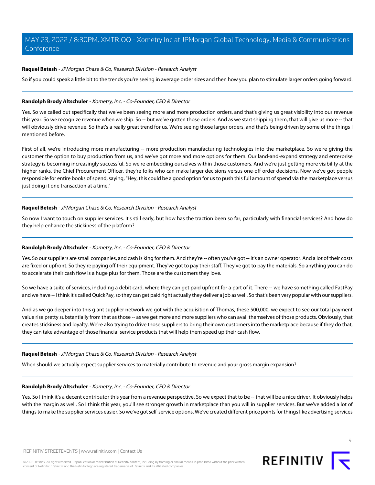## **Raquel Betesh** - JPMorgan Chase & Co, Research Division - Research Analyst

So if you could speak a little bit to the trends you're seeing in average order sizes and then how you plan to stimulate larger orders going forward.

#### **Randolph Brody Altschuler** - Xometry, Inc. - Co-Founder, CEO & Director

Yes. So we called out specifically that we've been seeing more and more production orders, and that's giving us great visibility into our revenue this year. So we recognize revenue when we ship. So -- but we've gotten those orders. And as we start shipping them, that will give us more -- that will obviously drive revenue. So that's a really great trend for us. We're seeing those larger orders, and that's being driven by some of the things I mentioned before.

First of all, we're introducing more manufacturing -- more production manufacturing technologies into the marketplace. So we're giving the customer the option to buy production from us, and we've got more and more options for them. Our land-and-expand strategy and enterprise strategy is becoming increasingly successful. So we're embedding ourselves within those customers. And we're just getting more visibility at the higher ranks, the Chief Procurement Officer, they're folks who can make larger decisions versus one-off order decisions. Now we've got people responsible for entire books of spend, saying, "Hey, this could be a good option for us to push this full amount of spend via the marketplace versus just doing it one transaction at a time."

## **Raquel Betesh** - JPMorgan Chase & Co, Research Division - Research Analyst

So now I want to touch on supplier services. It's still early, but how has the traction been so far, particularly with financial services? And how do they help enhance the stickiness of the platform?

# **Randolph Brody Altschuler** - Xometry, Inc. - Co-Founder, CEO & Director

Yes. So our suppliers are small companies, and cash is king for them. And they're -- often you've got -- it's an owner operator. And a lot of their costs are fixed or upfront. So they're paying off their equipment. They've got to pay their staff. They've got to pay the materials. So anything you can do to accelerate their cash flow is a huge plus for them. Those are the customers they love.

So we have a suite of services, including a debit card, where they can get paid upfront for a part of it. There -- we have something called FastPay and we have -- I think it's called QuickPay, so they can get paid right actually they deliver a job as well. So that's been very popular with our suppliers.

And as we go deeper into this giant supplier network we got with the acquisition of Thomas, these 500,000, we expect to see our total payment value rise pretty substantially from that as those -- as we get more and more suppliers who can avail themselves of those products. Obviously, that creates stickiness and loyalty. We're also trying to drive those suppliers to bring their own customers into the marketplace because if they do that, they can take advantage of those financial service products that will help them speed up their cash flow.

#### **Raquel Betesh** - JPMorgan Chase & Co, Research Division - Research Analyst

When should we actually expect supplier services to materially contribute to revenue and your gross margin expansion?

#### **Randolph Brody Altschuler** - Xometry, Inc. - Co-Founder, CEO & Director

Yes. So I think it's a decent contributor this year from a revenue perspective. So we expect that to be -- that will be a nice driver. It obviously helps with the margin as well. So I think this year, you'll see stronger growth in marketplace than you will in supplier services. But we've added a lot of things to make the supplier services easier. So we've got self-service options. We've created different price points for things like advertising services

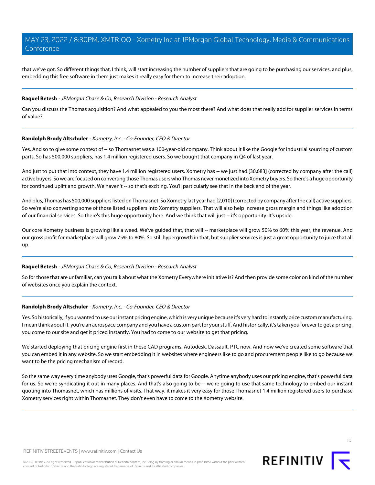that we've got. So different things that, I think, will start increasing the number of suppliers that are going to be purchasing our services, and plus, embedding this free software in them just makes it really easy for them to increase their adoption.

#### **Raquel Betesh** - JPMorgan Chase & Co, Research Division - Research Analyst

Can you discuss the Thomas acquisition? And what appealed to you the most there? And what does that really add for supplier services in terms of value?

#### **Randolph Brody Altschuler** - Xometry, Inc. - Co-Founder, CEO & Director

Yes. And so to give some context of -- so Thomasnet was a 100-year-old company. Think about it like the Google for industrial sourcing of custom parts. So has 500,000 suppliers, has 1.4 million registered users. So we bought that company in Q4 of last year.

And just to put that into context, they have 1.4 million registered users. Xometry has -- we just had [30,683] (corrected by company after the call) active buyers. So we are focused on converting those Thomas users who Thomas never monetized into Xometry buyers. So there's a huge opportunity for continued uplift and growth. We haven't -- so that's exciting. You'll particularly see that in the back end of the year.

And plus, Thomas has 500,000 suppliers listed on Thomasnet. So Xometry last year had [2,010] (corrected by company after the call) active suppliers. So we're also converting some of those listed suppliers into Xometry suppliers. That will also help increase gross margin and things like adoption of our financial services. So there's this huge opportunity here. And we think that will just -- it's opportunity. It's upside.

Our core Xometry business is growing like a weed. We've quided that, that will -- marketplace will grow 50% to 60% this year, the revenue. And our gross profit for marketplace will grow 75% to 80%. So still hypergrowth in that, but supplier services is just a great opportunity to juice that all up.

## **Raquel Betesh** - JPMorgan Chase & Co, Research Division - Research Analyst

So for those that are unfamiliar, can you talk about what the Xometry Everywhere initiative is? And then provide some color on kind of the number of websites once you explain the context.

#### **Randolph Brody Altschuler** - Xometry, Inc. - Co-Founder, CEO & Director

Yes. So historically, if you wanted to use our instant pricing engine, which is very unique because it's very hard to instantly price custom manufacturing. I mean think about it, you're an aerospace company and you have a custom part for your stuff. And historically, it's taken you forever to get a pricing, you come to our site and get it priced instantly. You had to come to our website to get that pricing.

We started deploying that pricing engine first in these CAD programs, Autodesk, Dassault, PTC now. And now we've created some software that you can embed it in any website. So we start embedding it in websites where engineers like to go and procurement people like to go because we want to be the pricing mechanism of record.

So the same way every time anybody uses Google, that's powerful data for Google. Anytime anybody uses our pricing engine, that's powerful data for us. So we're syndicating it out in many places. And that's also going to be -- we're going to use that same technology to embed our instant quoting into Thomasnet, which has millions of visits. That way, it makes it very easy for those Thomasnet 1.4 million registered users to purchase Xometry services right within Thomasnet. They don't even have to come to the Xometry website.

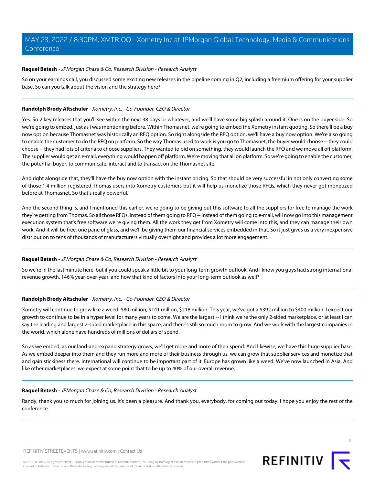## **Raquel Betesh** - JPMorgan Chase & Co, Research Division - Research Analyst

So on your earnings call, you discussed some exciting new releases in the pipeline coming in Q2, including a freemium offering for your supplier base. So can you talk about the vision and the strategy here?

## **Randolph Brody Altschuler** - Xometry, Inc. - Co-Founder, CEO & Director

Yes. So 2 key releases that you'll see within the next 38 days or whatever, and we'll have some big splash around it. One is on the buyer side. So we're going to embed, just as I was mentioning before. Within Thomasnet, we're going to embed the Xometry instant quoting. So there'll be a buy now option because Thomasnet was historically an RFQ option. So right alongside the RFQ option, we'll have a buy now option. We're also going to enable the customer to do the RFQ on platform. So the way Thomas used to work is you go to Thomasnet, the buyer would choose -- they could choose -- they had lots of criteria to choose suppliers. They wanted to bid on something, they would launch the RFQ and we move all off platform. The supplier would get an e-mail, everything would happen off platform. We're moving that all on platform. So we're going to enable the customer, the potential buyer, to communicate, interact and to transact on the Thomasnet site.

And right alongside that, they'll have the buy now option with the instant pricing. So that should be very successful in not only converting some of those 1.4 million registered Thomas users into Xometry customers but it will help us monetize those RFQs, which they never got monetized before at Thomasnet. So that's really powerful.

And the second thing is, and I mentioned this earlier, we're going to be giving out this software to all the suppliers for free to manage the work they're getting from Thomas. So all those RFQs, instead of them going to RFQ -- instead of them going to e-mail, will now go into this management execution system that's free software we're giving them. All the work they get from Xometry will come into this, and they can manage their own work. And it will be free, one pane of glass, and we'll be giving them our financial services embedded in that. So it just gives us a very inexpensive distribution to tens of thousands of manufacturers virtually overnight and provides a lot more engagement.

# **Raquel Betesh** - JPMorgan Chase & Co, Research Division - Research Analyst

So we're in the last minute here, but if you could speak a little bit to your long-term growth outlook. And I know you guys had strong international revenue growth, 146% year-over-year, and how that kind of factors into your long-term outlook as well?

# **Randolph Brody Altschuler** - Xometry, Inc. - Co-Founder, CEO & Director

Xometry will continue to grow like a weed. \$80 million, \$141 million, \$218 million. This year, we've got a \$392 million to \$400 million. I expect our growth to continue to be in a hyper level for many years to come. We are the largest -- I think we're the only 2-sided marketplace, or at least I can say the leading and largest 2-sided marketplace in this space, and there's still so much room to grow. And we work with the largest companies in the world, which alone have hundreds of millions of dollars of spend.

So as we embed, as our land-and-expand strategy grows, we'll get more and more of their spend. And likewise, we have this huge supplier base. As we embed deeper into them and they run more and more of their business through us, we can grow that supplier services and monetize that and gain stickiness there. International will continue to be important part of it. Europe has grown like a weed. We've now launched in Asia. And like other marketplaces, we expect at some point that to be up to 40% of our overall revenue.

#### **Raquel Betesh** - JPMorgan Chase & Co, Research Division - Research Analyst

Randy, thank you so much for joining us. It's been a pleasure. And thank you, everybody, for coming out today. I hope you enjoy the rest of the conference.